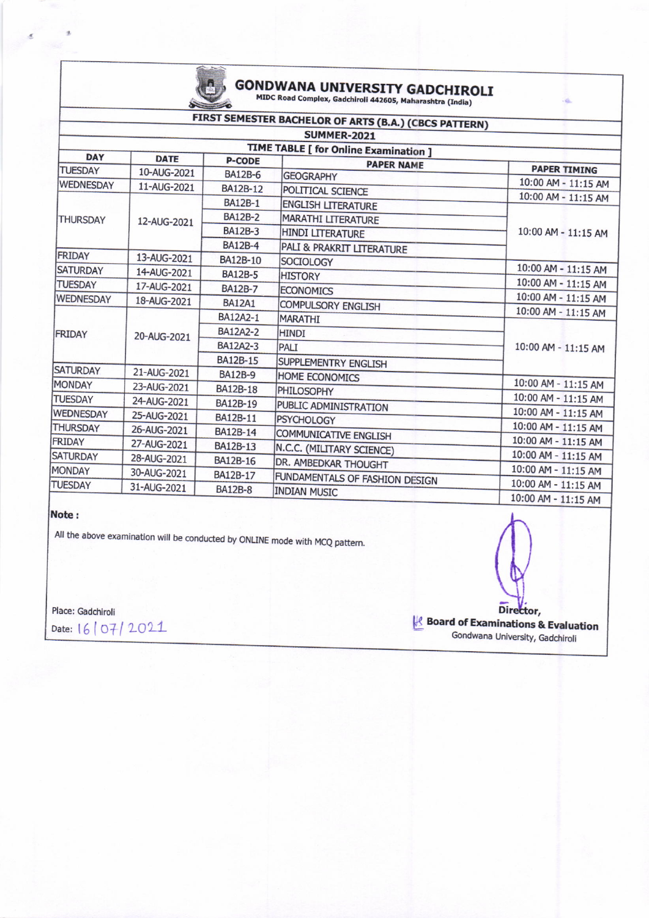

# **GONDWANA UNIVERSITY GADCHIROLI**<br>MIDC Road Complex, Gadchiroli 442605, Maharashtra (India)

### FIRST SEMESTER BACHELOR OF ARTS (B.A.) (CBCS PATTERN)

| SUMMER-2021                                                                                |             |                 |                                |                     |  |  |  |
|--------------------------------------------------------------------------------------------|-------------|-----------------|--------------------------------|---------------------|--|--|--|
| <b>TIME TABLE [ for Online Examination ]</b><br><b>DAY</b><br><b>DATE</b><br><b>P-CODE</b> |             |                 |                                |                     |  |  |  |
| <b>TUESDAY</b>                                                                             | 10-AUG-2021 | <b>BA12B-6</b>  | <b>PAPER NAME</b>              | <b>PAPER TIMING</b> |  |  |  |
| <b>WEDNESDAY</b>                                                                           | 11-AUG-2021 |                 | <b>GEOGRAPHY</b>               | 10:00 AM - 11:15 AM |  |  |  |
| <b>THURSDAY</b>                                                                            | 12-AUG-2021 | BA12B-12        | POLITICAL SCIENCE              | 10:00 AM - 11:15 AM |  |  |  |
|                                                                                            |             | <b>BA12B-1</b>  | <b>ENGLISH LITERATURE</b>      | 10:00 AM - 11:15 AM |  |  |  |
|                                                                                            |             | <b>BA12B-2</b>  | <b>MARATHI LITERATURE</b>      |                     |  |  |  |
|                                                                                            |             | <b>BA12B-3</b>  | <b>HINDI LITERATURE</b>        |                     |  |  |  |
|                                                                                            |             | <b>BA12B-4</b>  | PALI & PRAKRIT LITERATURE      |                     |  |  |  |
| FRIDAY                                                                                     | 13-AUG-2021 | BA12B-10        | SOCIOLOGY                      |                     |  |  |  |
| <b>SATURDAY</b>                                                                            | 14-AUG-2021 | <b>BA12B-5</b>  | <b>HISTORY</b>                 | 10:00 AM - 11:15 AM |  |  |  |
| <b>TUESDAY</b>                                                                             | 17-AUG-2021 | <b>BA12B-7</b>  | <b>ECONOMICS</b>               | 10:00 AM - 11:15 AM |  |  |  |
| <b>WEDNESDAY</b>                                                                           | 18-AUG-2021 | <b>BA12A1</b>   | <b>COMPULSORY ENGLISH</b>      | 10:00 AM - 11:15 AM |  |  |  |
| <b>FRIDAY</b>                                                                              | 20-AUG-2021 | BA12A2-1        | <b>MARATHI</b>                 | 10:00 AM - 11:15 AM |  |  |  |
|                                                                                            |             | <b>BA12A2-2</b> | <b>HINDI</b>                   | 10:00 AM - 11:15 AM |  |  |  |
|                                                                                            |             | BA12A2-3        | PALI                           |                     |  |  |  |
|                                                                                            |             | BA12B-15        | SUPPLEMENTRY ENGLISH           |                     |  |  |  |
| <b>SATURDAY</b>                                                                            | 21-AUG-2021 | <b>BA12B-9</b>  | <b>HOME ECONOMICS</b>          |                     |  |  |  |
| <b>MONDAY</b>                                                                              | 23-AUG-2021 | <b>BA12B-18</b> | PHILOSOPHY                     | 10:00 AM - 11:15 AM |  |  |  |
| <b>TUESDAY</b>                                                                             | 24-AUG-2021 | BA12B-19        | PUBLIC ADMINISTRATION          | 10:00 AM - 11:15 AM |  |  |  |
| WEDNESDAY                                                                                  | 25-AUG-2021 | BA12B-11        | <b>PSYCHOLOGY</b>              | 10:00 AM - 11:15 AM |  |  |  |
| <b>THURSDAY</b>                                                                            | 26-AUG-2021 | BA12B-14        |                                | 10:00 AM - 11:15 AM |  |  |  |
| FRIDAY                                                                                     | 27-AUG-2021 | BA12B-13        | <b>COMMUNICATIVE ENGLISH</b>   | 10:00 AM - 11:15 AM |  |  |  |
| <b>SATURDAY</b>                                                                            | 28-AUG-2021 | <b>BA12B-16</b> | N.C.C. (MILITARY SCIENCE)      | 10:00 AM - 11:15 AM |  |  |  |
| <b>MONDAY</b>                                                                              | 30-AUG-2021 |                 | DR. AMBEDKAR THOUGHT           | 10:00 AM - 11:15 AM |  |  |  |
| <b>TUESDAY</b>                                                                             |             | BA12B-17        | FUNDAMENTALS OF FASHION DESIGN | 10:00 AM - 11:15 AM |  |  |  |
|                                                                                            | 31-AUG-2021 | <b>BA12B-8</b>  | <b>INDIAN MUSIC</b>            | 10:00 AM - 11:15 AM |  |  |  |

### Note:

All the above examination will be conducted by ONLINE mode with MCQ pattern.

Place: Gadchiroli Date: 16/07/2021

Director, **Board of Examinations & Evaluation** Gondwana University, Gadchiroli